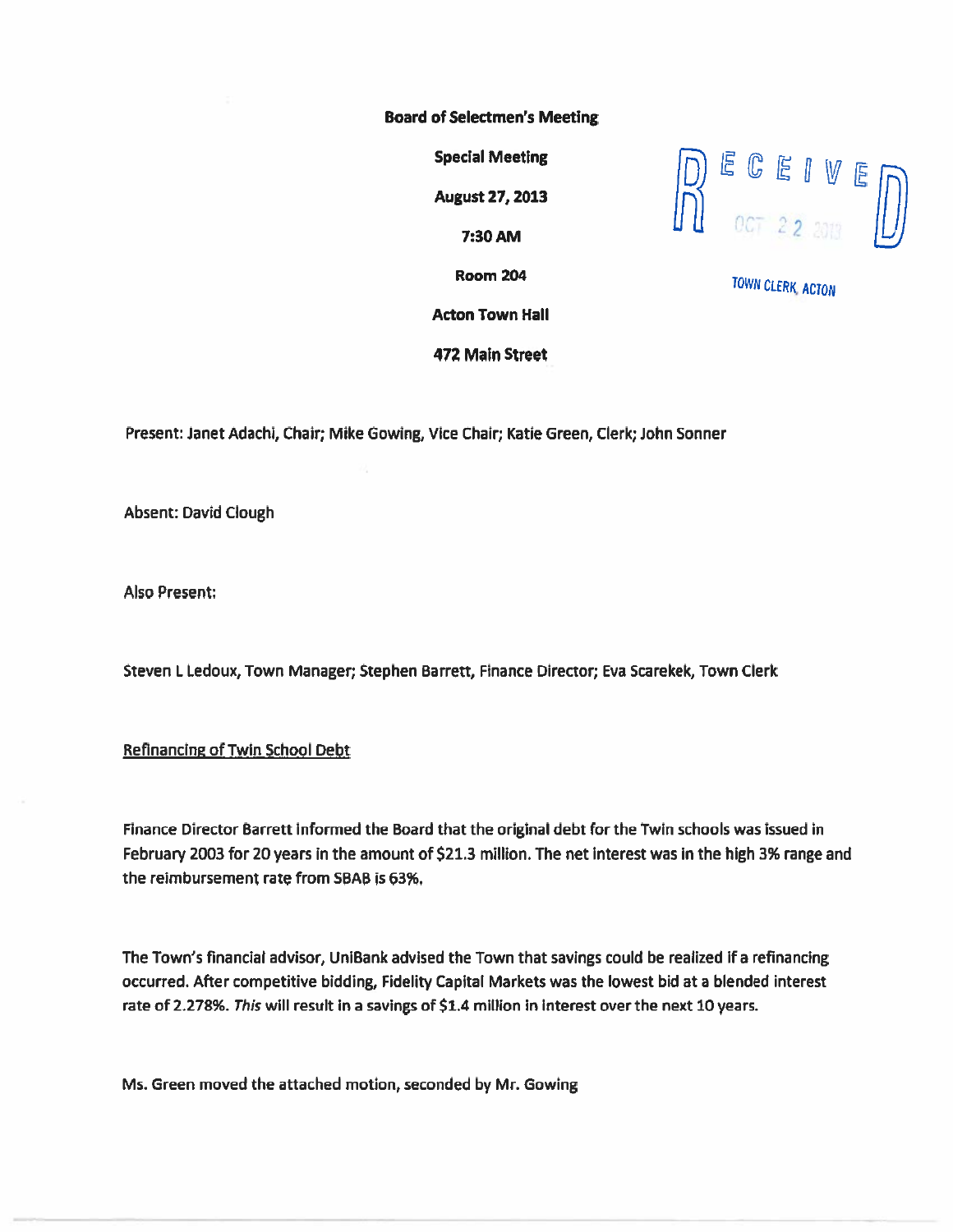#### Board of Selectmen's Meeting

August 27, 2013

Acton Town Hall

472 Main Street



Room 204 JOWN CLERK ACTON

Present: Janet Adachi, Chair; Mike Gowing, Vice Chair; Katie Green, Clerk; John Sonner

Absent: David Clough

Also Present:

Steven L Ledoux, Town Manager; Stephen Barrett, Finance Director; Eva Scarekek, Town Clerk

### Refinancing of Twin School Debt

Finance Director Barrett informed the Board that the original debt for the Twin schools was issued in February 2003 for 20 years in the amount of \$21.3 million. The net interest was in the high 3% range and the reimbursement rate from SBAB is 63%.

The Town's financial advisor, UniBank advised the Town that savings could be realized if <sup>a</sup> refinancing occurred. After competitive bidding, Fidelity Capital Markets was the lowest bid at <sup>a</sup> blended interest rate of 2.278%. This will result in <sup>a</sup> savings of \$1.4 million in interest over the next 10 years.

Ms. Green moved the attached motion, seconded by Mr. Cowing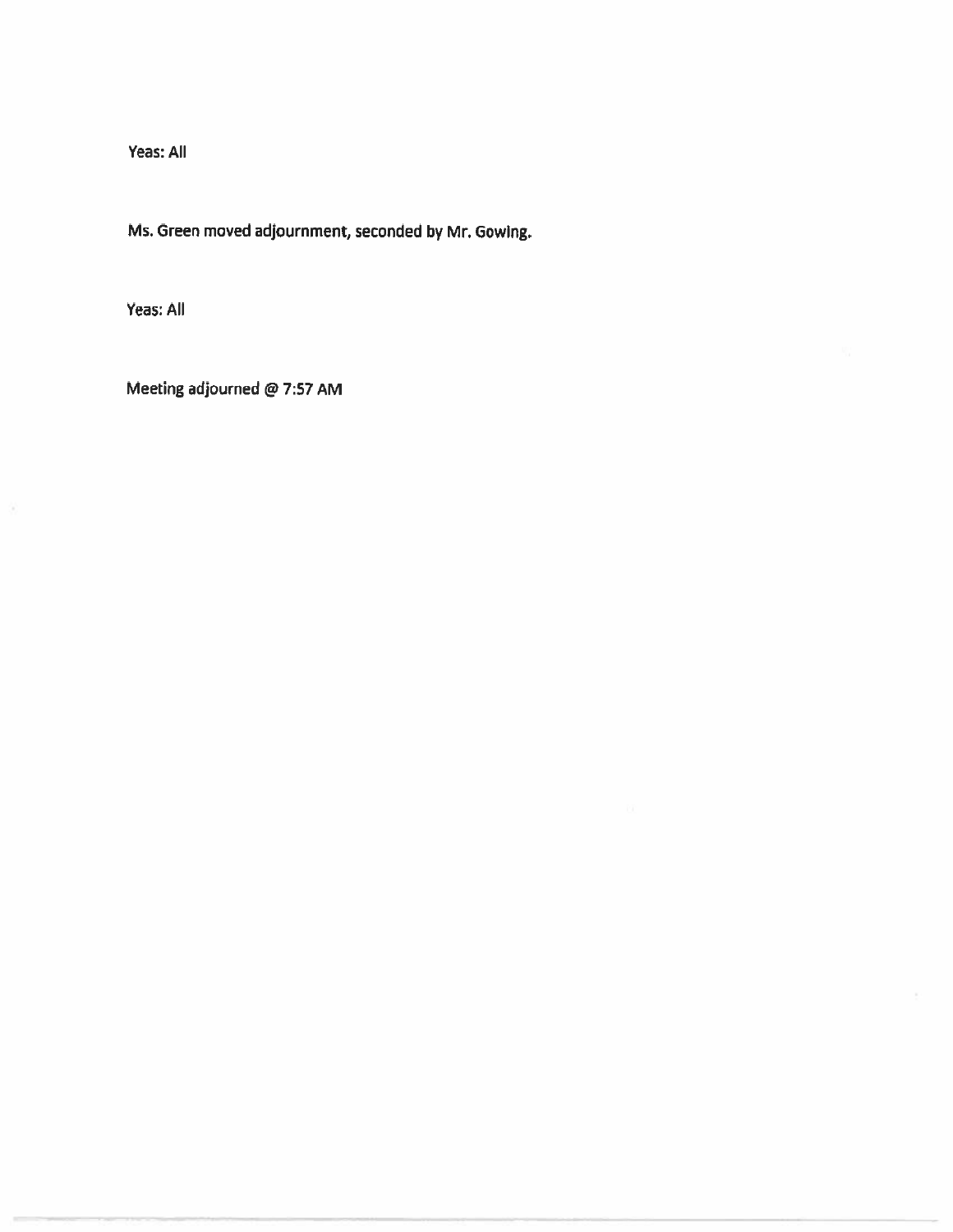Yeas: All

Ms. Green moved adjournment, seconded by Mr. Cowing.

Yeas: All

Meeting adjourned @ 7:57 AM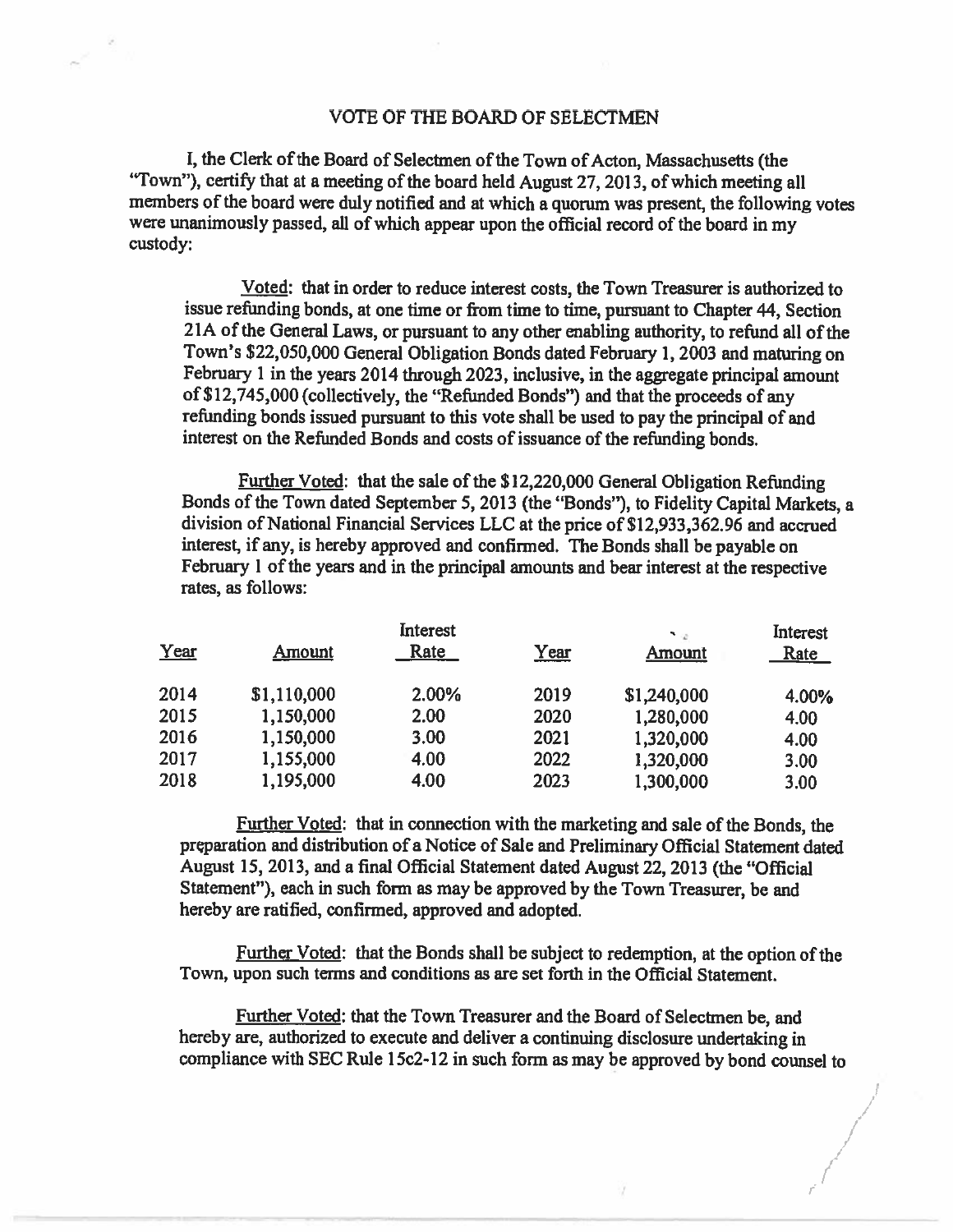#### VOTE OF THE BOARD OF SELECTMEN

I, the Clerk of the Board of Selectmen of the Town of Acton, Massachusetts (the "Town"), certify that at <sup>a</sup> meeting of the board held August 27, 2013, of which meeting all members of the board were duly notified and at which <sup>a</sup> quorum was present, the following votes were unanimously passed, all of which appear upon the official record of the board in my custody:

Voted: that in order to reduce interest costs, the Town Treasurer is authorized to issue refunding bonds, at one time or from time to time, pursuan<sup>t</sup> to Chapter 44, Section 21A of the General Laws, or pursuant to any other enabling authority, to refund all of the Town's \$22,050,000 General Obligation Bonds dated February 1, <sup>2003</sup> and maturing on February <sup>1</sup> in the years <sup>2014</sup> through 2023, inclusive, in the aggregate principal amount of \$12,745,000 (collectively, the "Refimded Bonds") and that the proceeds of any refunding bonds issued pursuan<sup>t</sup> to this vote shall be used to pay the principal of and interest on the Refunded Bonds and costs of issuance of the refunding bonds.

Further Voted: that the sale of the \$12,220,000 General Obligation Refunding Bonds of the Town dated September 5, 2013 (the "Bonds"), to Fidelity Capital Markets, <sup>a</sup> division of National Financial Services LLC at the price of \$12,933,362.96 and accrued interest, if any, is hereby approve<sup>d</sup> and confirmed. The Bonds shall be payable on February 1 of the years and in the principal amounts and bear interest at the respective rates, as follows:

|      | Interest    |       |             |               | Interest    |
|------|-------------|-------|-------------|---------------|-------------|
| Year | Amount      | Rate  | <u>Year</u> | <b>Amount</b> | <u>Rate</u> |
| 2014 | \$1,110,000 | 2.00% | 2019        | \$1,240,000   | 4.00%       |
| 2015 | 1,150,000   | 2.00  | 2020        | 1,280,000     | 4.00        |
| 2016 | 1,150,000   | 3.00  | 2021        | 1,320,000     | 4.00        |
| 2017 | 1,155,000   | 4.00  | 2022        | 1,320,000     | 3.00        |
| 2018 | 1,195,000   | 4.00  | 2023        | 1,300,000     | 3.00        |

Further Voted: that in connection with the marketing and sale of the Bonds, the preparation and distribution of a Notice of Sale and Preliminary Official Statement dated August 15, 2013, and <sup>a</sup> final Official Statement dated August 22, <sup>2013</sup> (the "Official Statement"), each in such form as may be approved by the Town Treasurer, be and hereby are ratified, confirmed, approved and adopted.

Further Voted: that the Bonds shall be subject to redemption, at the option of the Town, upon such terms and conditions as are set forth in the Official Statement.

Further Voted: that the Town Treasurer and the Board of Selectmen be, and hereby are, authorized to execute and deliver <sup>a</sup> continuing disclosure undertaking in compliance with SEC Rule 15c2-12 in such form as may be approved by bond counsel to

> ii /

I I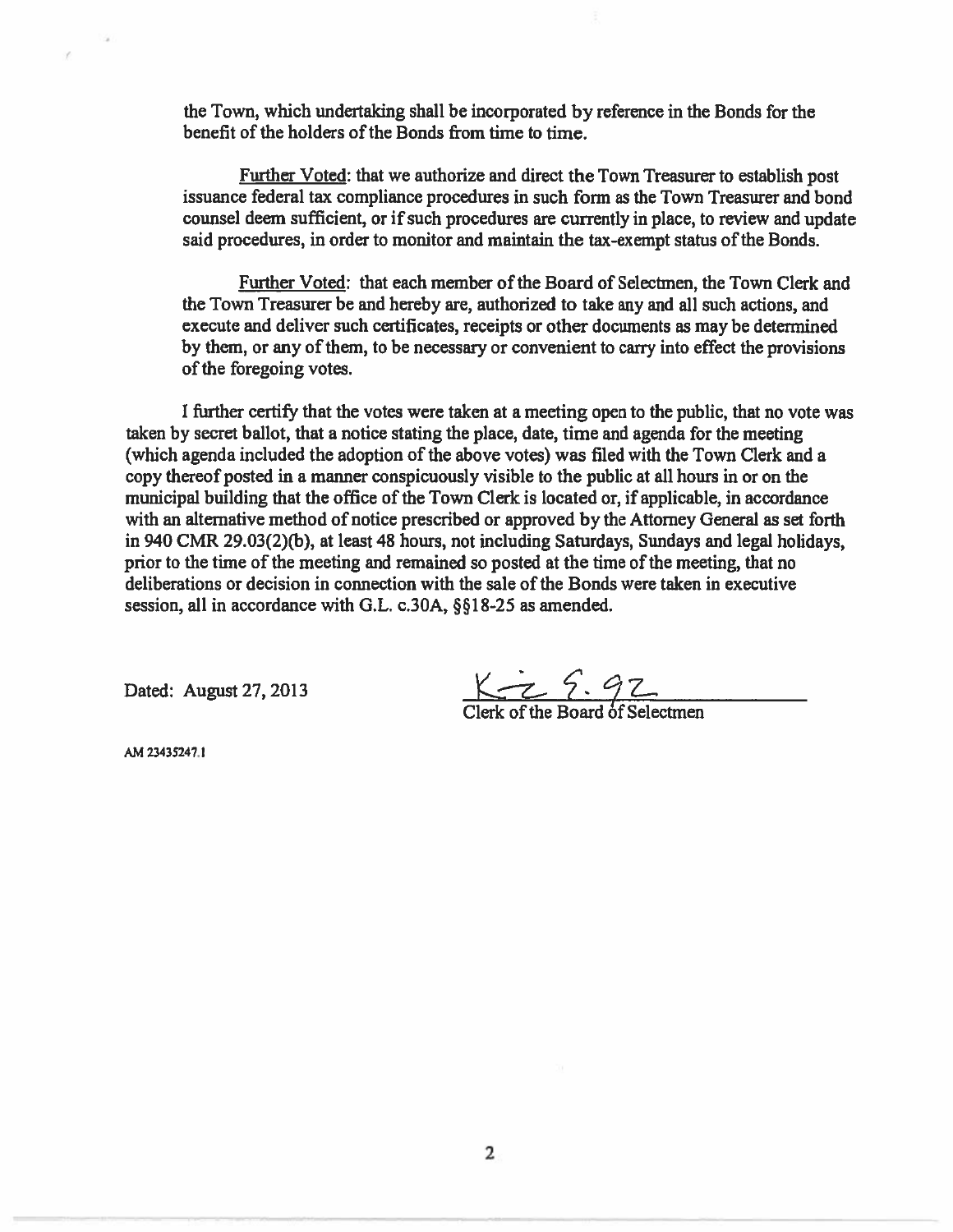the Town, which undertaking shall be incorporated by reference in the Bonds for the benefit of the holders of the Bonds from time to time.

Further Voted: that we authorize and direct the Town Treasurer to establish pos<sup>t</sup> issuance federal tax compliance procedures in such form as thc Town Treasurer and bond counsel deem sufficient, or if such procedures are currently in <sup>p</sup>lace, to review and update said procedures, in order to monitor and maintain the tax-exempt status of the Bonds.

Further Voted: that each member of the Board of Selectmen, the Town Clerk and the Town Treasurer be and hereby are, authorized to take any and all such actions, and execute and deliver such certificates, receipts or other documents as may be determined by them, or any of them, to be necessary or convenient to carry into effect the provisions of the foregoing votes.

I further certify that the votes were taken at a meeting open to the public, that no vote was taken by secret ballot, that <sup>a</sup> notice stating the place, date, time and agenda for the meeting (which agenda included the adoption of the above votes) was filed with the Town Clerk and a copy thereof posted in <sup>a</sup> manner conspicuously visible to the public at all hours in or on the municipal building that the office of the Town Clerk is located or, if applicable, in accordance with an alternative method of notice prescribed or approved by the Attorney General as set forth in 940 CMR 29.03(2)(b), at least 48 hours, not including Saturdays, Sundays and legal holidays, prior to the time of the meeting and remained so posted at the time of the meeting, that no deliberations or decision in connection with the sale of the Bonds were taken in executive session, all in accordance with G.L. c.30A, §§18-25 as amended.

Dated: August 27, 2013

 $K \rightarrow 97$ <br>Clerk of the Board of Selectmen

kM 23435247.1